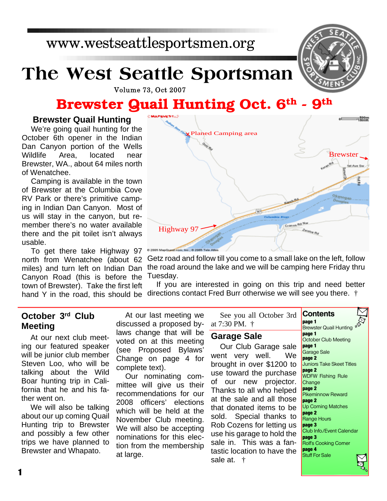www.westseattlesportsmen.org

# **The West Seattle Sportsman**

**Volume 73, Oct 2007** 

## **Brewster Quail Hunting Oct. 6th - 9th**

#### **Brewster Quail Hunting**

We're going quail hunting for the October 6th opener in the Indian Dan Canyon portion of the Wells Wildlife Area, located near Brewster, WA., about 64 miles north of Wenatchee.

Camping is available in the town of Brewster at the Columbia Cove RV Park or there's primitive camping in Indian Dan Canyon. Most of us will stay in the canyon, but remember there's no water available there and the pit toilet isn't always usable.

To get there take Highway 97 north from Wenatchee (about 62 miles) and turn left on Indian Dan Canyon Road (this is before the town of Brewster). Take the first left

#### Getz road and follow till you come to a small lake on the left, follow the road around the lake and we will be camping here Friday thru Tuesday.

If you are interested in going on this trip and need better hand Y in the road, this should be directions contact Fred Burr otherwise we will see you there.  $\dagger$ 

#### **October 3rd Club Meeting**

At our next club meeting our featured speaker will be junior club member Steven Loo, who will be talking about the Wild Boar hunting trip in California that he and his father went on.

We will also be talking about our up coming Quail Hunting trip to Brewster and possibly a few other trips we have planned to Brewster and Whapato.

At our last meeting we discussed a proposed bylaws change that will be voted on at this meeting (see Proposed Bylaws' Change on page 4 for complete text).

Our nominating committee will give us their recommendations for our 2008 officers' elections which will be held at the November Club meeting. We will also be accepting nominations for this election from the membership at large.

See you all October 3rd at 7:30 PM. † **Contents**

#### **Garage Sale**

Our Club Garage sale went very well. We brought in over \$1200 to use toward the purchase of our new projector. Thanks to all who helped at the sale and all those that donated items to be sold. Special thanks to Rob Cozens for letting us use his garage to hold the sale in. This was a fantastic location to have the sale at. †





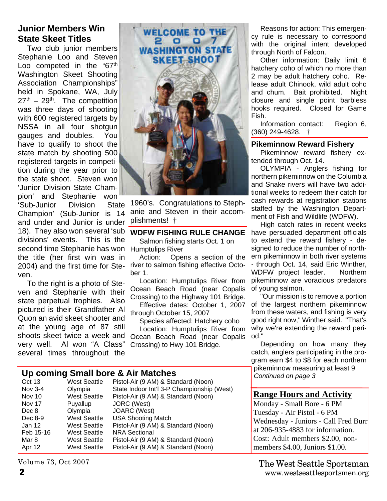#### **Junior Members Win State Skeet Titles**

second time Stephanie has won Humptulips River Two club junior members Stephanie Loo and Steven Loo competed in the "67<sup>th</sup> Washington Skeet Shooting Association Championships" held in Spokane, WA, July  $27<sup>th</sup> - 29<sup>th</sup>$ . The competition was three days of shooting with 600 registered targets by NSSA in all four shotgun gauges and doubles. You have to qualify to shoot the state match by shooting 500 registered targets in competition during the year prior to the state shoot. Steven won 'Junior Division State Champion' and Stephanie won 'Sub-Junior Division State Champion' (Sub-Junior is 14 and under and Junior is under 18). They also won several 'sub divisions' events. This is the the title (her first win was in ven.

To the right is a photo of Steven and Stephanie with their state perpetual trophies. Also pictured is their Grandfather Al Quon an avid skeet shooter and at the young age of 87 still shoots skeet twice a week and very well. Al won "A Class" several times throughout the



1960's. Congratulations to Stephanie and Steven in their accomplishments! †

#### **WDFW FISHING RULE CHANGE**

Salmon fishing starts Oct. 1 on

Action: Opens a section of the 2004) and the first time for Ste- river to salmon fishing effective October 1.

> Location: Humptulips River from Ocean Beach Road (near Copalis Crossing) to the Highway 101 Bridge.

> Effective dates: October 1, 2007 through October 15, 2007

> Species affected: Hatchery coho Location: Humptulips River from Ocean Beach Road (near Copalis Crossing) to Hwy 101 Bridge.

#### **Up coming Small bore & Air Matches**

| Oct 13        | <b>West Seattle</b> | Pistol-Air (9 AM) & Standard (Noon)        |
|---------------|---------------------|--------------------------------------------|
| Nov 3-4       | Olympia             | State Indoor Int'l 3-P Championship (West) |
| Nov 10        | <b>West Seattle</b> | Pistol-Air (9 AM) & Standard (Noon)        |
| <b>Nov 17</b> | Puyallup            | JORC (West)                                |
| Dec 8         | Olympia             | JOARC (West)                               |
| Dec 8-9       | <b>West Seattle</b> | <b>USA Shooting Match</b>                  |
| Jan 12        | <b>West Seattle</b> | Pistol-Air (9 AM) & Standard (Noon)        |
| Feb 15-16     | <b>West Seattle</b> | <b>NRA Sectional</b>                       |
| Mar 8         | <b>West Seattle</b> | Pistol-Air (9 AM) & Standard (Noon)        |
| Apr 12        | <b>West Seattle</b> | Pistol-Air (9 AM) & Standard (Noon)        |
|               |                     |                                            |

Volume 73, Oct 2007

Reasons for action: This emergency rule is necessary to correspond with the original intent developed through North of Falcon.

Other information: Daily limit 6 hatchery coho of which no more than 2 may be adult hatchery coho. Release adult Chinook, wild adult coho and chum. Bait prohibited. Night closure and single point barbless hooks required. Closed for Game Fish.

Information contact: Region 6, (360) 249-4628. †

#### **Pikeminnow Reward Fishery**

Pikeminnow reward fishery extended through Oct. 14.

OLYMPIA - Anglers fishing for northern pikeminnow on the Columbia and Snake rivers will have two additional weeks to redeem their catch for cash rewards at registration stations staffed by the Washington Department of Fish and Wildlife (WDFW).

High catch rates in recent weeks have persuaded department officials to extend the reward fishery - designed to reduce the number of northern pikeminnow in both river systems - through Oct. 14, said Eric Winther, WDFW project leader. Northern pikeminnow are voracious predators of young salmon.

"Our mission is to remove a portion of the largest northern pikeminnow from these waters, and fishing is very good right now," Winther said. "That's why we're extending the reward period."

Depending on how many they catch, anglers participating in the program earn \$4 to \$8 for each northern pikeminnow measuring at least 9 *Continued on page 3*

#### **Range Hours and Activity**

Monday - Small Bore - 6 PM Tuesday - Air Pistol - 6 PM Wednesday - Juniors - Call Fred Burr at 206-935-4883 for information. Cost: Adult members \$2.00, nonmembers \$4.00, Juniors \$1.00.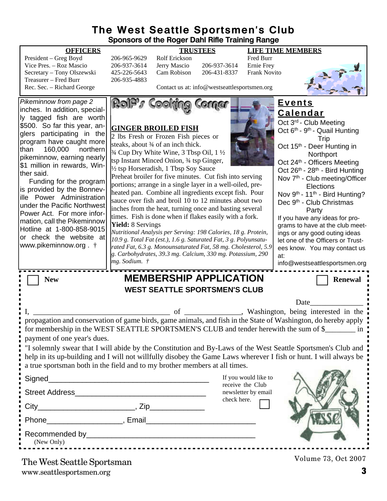#### **The West Seattle Sportsmen's Club Sponsors of the Roger Dahl Rifle Training Range**

| President – Greg Boyd      | 20  |
|----------------------------|-----|
| Vice Pres. - Roz Mascio    | 20  |
| Secretary - Tony Olszewski | 42. |
| Treasurer – Fred Burr      | 20  |
| Rec. Sec. – Richard George |     |

President – Greg Boyd 206-965-9629 Rolf Erickson Fred Burr 6-937-3614 Jerry Mascio 206-937-3614 5-226-5643 Cam Robison 206-431-8337 Frank Novito 6-935-4883

**OFFICERS TRUSTEES LIFE TIME MEMBERS**



Contact us at: info@westseattlesportsmen.org



www.seattlesportsmen.org **3**